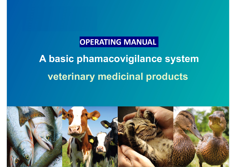### **OPERATING MANUAL**

# **A basic phamacovigilance system veterinary medicinal products**

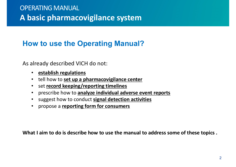#### **How to use the Operating Manual??**

As already described VICH do not:

- **establish regulations**
- tell how to **set up a pharmacovigilance center**
- •set **record keeping/reporting timelines**
- prescribe how to **analyze individual adverse event reports**
- suggest how to conduct **signal detection activities**
- propose a **reporting form for consumers**

**What I aim to do is describe how to use the manual to address some of these topics .**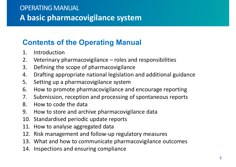#### **Contents of the Operating Manual**

- 1. Introduction
- 2. Veterinary pharmacovigilance roles and responsibilities
- 3. Defining the scope of pharmacovigilance
- 4. Drafting appropriate national legislation and additional guidance
- 5. Setting up <sup>a</sup> pharmacovigilance system
- 6. How to promote pharmacovigilance and encourage reporting
- 7. Submission, reception and processing of spontaneous reports
- 8. How to code the data
- 9. How to store and archive pharmacovigilance data
- 10. Standardised periodic update reports
- 11. How to analyse aggregated data
- 12. Risk management and follow-up regulatory measures
- 13. What and how to communicate pharmacovigilance outcomes
- 14. Inspections and ensuring compliance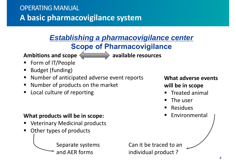#### *Establishing a pharmacovigilance center* **Scope of Pharmacovigilance**

Ambitions and scope **and in the sources** available resources

- Ξ Form of IT/People
- **Budget (funding)**
- $\blacksquare$ Number of anticipated adverse event reports
- $\blacksquare$ Number of products on the market
- ٠ Local culture of reporting

#### **What products will be in scope:**

- Veterinary Medicinal products
- ٠ Other types of products

Separate systems and AER forms

Can it be traced to an individual product ?

**What adverse events will be in scope**

- Treated animal
- $\blacksquare$ The user
- $\blacksquare$ Residues
- ٠ Environmental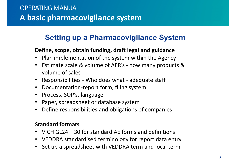#### **Setting up a Pharmacovigilance System**

#### **Define, scope, obtain funding, draft legal and guidance**

- Plan implementation of the system within the Agency
- Estimate scale & volume of AER's how many products & volume of sales
- Responsibilities Who does what adequate staff
- Documentation-report form, filing system
- Process, SOP's, language
- Paper, spreadsheet or database system
- Define responsibilities and obligations of companies

#### **Standard formats**

- VICH GL24 + 30 for standard AE forms and definitions
- VEDDRA standardised terminology for report data entry
- Set up a spreadsheet with VEDDRA term and local term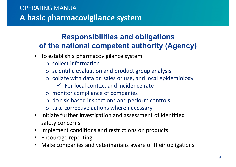### **Responsibilities and obligations of the national competent authority (Agency)**

- To establish a pharmacovigilance system:
	- o collect information
	- o scientific evaluation and product group analysis
	- o collate with data on sales or use, and local epidemiology
		- $\checkmark$  For local context and incidence rate
	- o monitor compliance of companies
	- o do risk-based inspections and perform controls
	- o take corrective actions where necessary
- Initiate further investigation and assessment of identified safety concerns
- Implement conditions and restrictions on products
- Encourage reporting
- Make companies and veterinarians aware of their obligations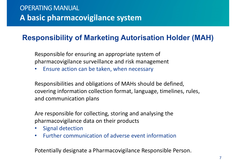### **Responsibility of Marketing Autorisation Holder (MAH)**

Responsible for ensuring an appropriate system of pharmacovigilance surveillance and risk management

•Ensure action can be taken, when necessary

Responsibilities and obligations of MAHs should be defined, covering information collection format, language, timelines, rules, and communication plans

Are responsible for collecting, storing and analysing the pharmacovigilance data on their products

- •Signal detection
- $\bullet$ Further communication of adverse event information

Potentially designate a Pharmacovigilance Responsible Person.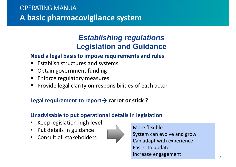#### *Establishing regulations* **Legislation and Guidance**

#### **Need a legal basis to impose requirements and rules**

- ٠ Establish structures and systems
- $\blacksquare$ Obtain government funding
- Enforce regulatory measures
- Ξ Provide legal clarity on responsibilities of each actor

#### **Legal requirement to report→ carrot or stick ?**

#### **Unadvisable to put operational details in legislation**

- •Keep legislation high level
- Put details in guidance
- •Consult all stakeholders

![](_page_7_Picture_12.jpeg)

More flexibleSystem can evolve and grow Can adapt with experience Easier to update Increase engagement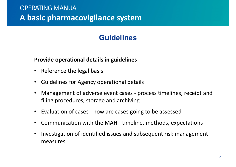### **Guidelines**

#### **Provide operational details in guidelines**

- Reference the legal basis
- Guidelines for Agency operational details
- • Management of adverse event cases - process timelines, receipt and filing procedures, storage and archiving
- Evaluation of cases how are cases going to be assessed
- Communication with the MAH timeline, methods, expectations
- • Investigation of identified issues and subsequent risk management measures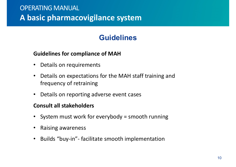### **Guidelines**

#### **Guidelines for compliance of MAH**

- •Details on requirements
- • Details on expectations for the MAH staff training and frequency of retraining
- •Details on reporting adverse event cases

#### **Consult all stakeholders**

- System must work for everybody = smooth running
- •Raising awareness
- $\bullet$ Builds "buy-in"- facilitate smooth implementation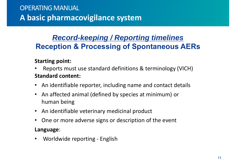### *Record-keeping / Reporting timelines* **Reception & Processing of Spontaneous AERs**

#### **Starting point:**

- • Reports must use standard definitions & terminology (VICH) **Standard content:**
- An identifiable reporter, including name and contact details
- An affected animal (defined by species at minimum) or human being
- An identifiable veterinary medicinal product
- •One or more adverse signs or description of the event

#### **Language**:

• Worldwide reporting - English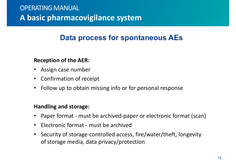### **Data process for spontaneous AEs**

#### **Reception of the AER:**

- Assign case number
- Confirmation of receipt
- •Follow up to obtain missing info or for personal response

#### **Handling and storage:**

- Paper format must be archived-paper or electronic format (scan)
- Electronic format must be archived
- Security of storage-controlled access, fire/water/theft, longevity of storage media, data privacy/protection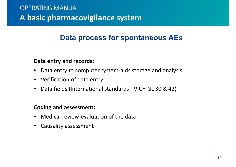### **Data process for spontaneous AEs**

#### **Data entry and records:**

- $\bullet$ Data entry to computer system-aids storage and analysis
- Verification of data entry
- $\bullet$ Data fields (International standards - VICH GL 30 & 42)

#### **Coding and assessment:**

- Medical review-evaluation of the data
- Causality assessment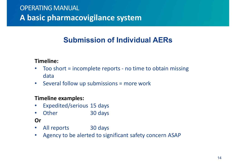### **Submission of Individual AERs**

#### **Timeline:**

- • Too short = incomplete reports - no time to obtain missing data
- Several follow up submissions = more work

#### **Timeline examples:**

- •Expedited/serious 15 days
- $\bullet$ Other 30 days

#### **Or**

- All reports 30 days
- Agency to be alerted to significant safety concern ASAP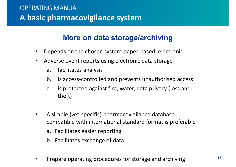#### **More on data storage/archiving**

- $\bullet$ Depends on the chosen system-paper-based, electronic
- $\bullet$  Adverse event reports using electronic data storage
	- a. facilitates analysis
	- b. is access-controlled and prevents unauthorised access
	- c. is protected against fire, water, data privacy (loss and theft)
- $\bullet$  A simple (vet-specific) pharmacovigilance database compatible with international standard format is preferable
	- a. Facilitates easier reporting
	- b. Facilitates exchange of data
- •Prepare operating procedures for storage and archiving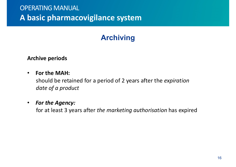## **Archiving**

#### **Archive periods**

#### •**For the MAH:**

should be retained for a period of 2 years after the *expiration date of a product* 

#### $\bullet$ *For the Agency:*

for at least 3 years after *the marketing authorisation* has expired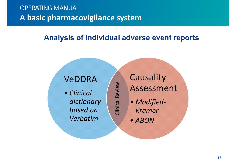#### **Analysis of individual adverse event reports**

Clinical Review Clinical Review

## VeDDRA

• *Clinical dictionary based on Verbatim*

**Causality** Assessment

- *Modified-Kramer*
- *ABON*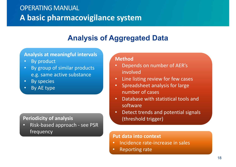## **Analysis of Aggregated Data**

#### **Analysis at meaningful intervals**

- $\mathbf C$ By product
- • By group of similar products e.g. same active substance
- •By species
- •By AE type

#### **Periodicity of analysis Periodicity of analysis (threshold trigger)**

• Risk-based approach - see PSR frequency **Put data into context**

#### **Method**

- $\bullet$  Depends on number of AER's involved
- •Line listing review for few cases
- • Spreadsheet analysis for large number of cases
- • Database with statistical tools and software
- •Detect trends and potential signals

- •• Incidence rate-increase in sales
- •Reporting rate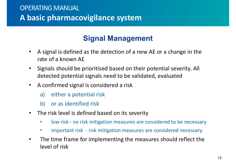### **Signal Management**

- $\bullet$  A signal is defined as the detection of a new AE or a change in the rate of a known AE
- • Signals should be prioritised based on their potential severity. All detected potential signals need to be validated, evaluated
- $\bullet$  A confirmed signal is considered a risk
	- a) either a potential risk
	- b) or as identified risk
- • The risk level is defined based on its severity
	- •low risk - no risk mitigation measures are considered to be necessary
	- •important risk - risk mitigation measures are considered necessary.
- • The time frame for implementing the measures should reflect the level of risk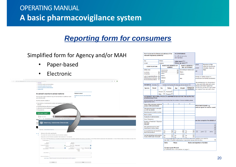#### **Reporting form for consumers**

#### Simplified form for Agency and/or MAH

- •Paper-based
- $\bullet$ Electronic

| C Bi https://www.gov.uk/report-veterinary-medicine-problem/animal-reacts-medicine |                                                                                                                                                                                                                                |                                |                                                                             | ☆ ④   ◎ |
|-----------------------------------------------------------------------------------|--------------------------------------------------------------------------------------------------------------------------------------------------------------------------------------------------------------------------------|--------------------------------|-----------------------------------------------------------------------------|---------|
| - Overvlew                                                                        |                                                                                                                                                                                                                                |                                |                                                                             |         |
| - An animal's reaction to animal medicine                                         |                                                                                                                                                                                                                                |                                |                                                                             |         |
| - An animal's reaction to a microchip                                             |                                                                                                                                                                                                                                |                                |                                                                             |         |
| - A person's reaction to animal medicine                                          |                                                                                                                                                                                                                                |                                |                                                                             |         |
| - Contact VMD                                                                     |                                                                                                                                                                                                                                |                                |                                                                             |         |
|                                                                                   | An animal's reaction to animal medicine                                                                                                                                                                                        |                                | <b>Related content</b>                                                      |         |
| your animal unwell.                                                               | You can report when a medicine may not have worked, or could have made                                                                                                                                                         | ΠR                             | Bringing your pet dog, cat or ferret to the                                 |         |
| You'll be asked for details of:                                                   |                                                                                                                                                                                                                                |                                |                                                                             |         |
| if known                                                                          | . the medicine, including batch number and marketing authorisation number                                                                                                                                                      |                                |                                                                             |         |
| • the animal that was affected, for example                                       |                                                                                                                                                                                                                                |                                |                                                                             |         |
| • when and how the medicine was fi                                                |                                                                                                                                                                                                                                |                                |                                                                             |         |
| • the symptoms                                                                    |                                                                                                                                                                                                                                |                                |                                                                             |         |
|                                                                                   |                                                                                                                                                                                                                                |                                |                                                                             |         |
| Send your report >                                                                |                                                                                                                                                                                                                                |                                |                                                                             |         |
|                                                                                   |                                                                                                                                                                                                                                |                                |                                                                             |         |
|                                                                                   |                                                                                                                                                                                                                                |                                |                                                                             |         |
|                                                                                   |                                                                                                                                                                                                                                |                                |                                                                             |         |
| @ Freduct Details                                                                 |                                                                                                                                                                                                                                |                                |                                                                             |         |
|                                                                                   | > C & Vetermary Medicines Directorate (GB)   https://www.vmd.deha.gov.uk/Adve                                                                                                                                                  |                                | ma Product.aupx75ARType+Animal                                              |         |
| If yo                                                                             |                                                                                                                                                                                                                                |                                |                                                                             |         |
| Down                                                                              |                                                                                                                                                                                                                                |                                |                                                                             |         |
| A A<br>addre                                                                      | Veterinary Medicines Directorate                                                                                                                                                                                               |                                |                                                                             |         |
|                                                                                   |                                                                                                                                                                                                                                |                                |                                                                             |         |
|                                                                                   |                                                                                                                                                                                                                                |                                |                                                                             |         |
|                                                                                   |                                                                                                                                                                                                                                |                                |                                                                             |         |
| <b>Start Page - Adverse Reactions Raporting</b>                                   |                                                                                                                                                                                                                                |                                |                                                                             |         |
|                                                                                   |                                                                                                                                                                                                                                |                                |                                                                             |         |
| Welcome to the online reporting site.<br>$\leftarrow$ PI                          |                                                                                                                                                                                                                                |                                |                                                                             |         |
| $\Omega$                                                                          | This screen is for recording information about the veterinary medicine.                                                                                                                                                        |                                |                                                                             |         |
|                                                                                   | Please enter as much information as possible. Fields marked with a " are required.                                                                                                                                             |                                |                                                                             |         |
|                                                                                   | As you type in the Product Name box, the website will suggest products which are possible matches for the words you ani entering. If one of these products is appropriate, then please select it. If none of these is suitable |                                |                                                                             |         |
| * Product Name:                                                                   |                                                                                                                                                                                                                                |                                |                                                                             |         |
|                                                                                   |                                                                                                                                                                                                                                |                                |                                                                             |         |
| MA No<br>(if known):                                                              |                                                                                                                                                                                                                                | Batch No<br>(if known):        |                                                                             |         |
| * Date Administration                                                             | జ                                                                                                                                                                                                                              | Person Who Please select       |                                                                             |         |
| Started:                                                                          |                                                                                                                                                                                                                                | Administered Product:          |                                                                             |         |
| Administration                                                                    | Route of Passe select<br>ä                                                                                                                                                                                                     | Duration of<br>Administration: | Duration Please select<br>Unit:<br><b><i><i><u>Effectivenic</u></i></i></b> |         |
|                                                                                   |                                                                                                                                                                                                                                |                                | values.                                                                     |         |
|                                                                                   |                                                                                                                                                                                                                                |                                | err(y)                                                                      |         |
| Dose Details                                                                      |                                                                                                                                                                                                                                |                                |                                                                             |         |
|                                                                                   |                                                                                                                                                                                                                                |                                |                                                                             |         |
| Concurrent Products:                                                              |                                                                                                                                                                                                                                |                                |                                                                             |         |

| Form to be sent to (Name and address of the<br>relevant Regulatory authority) |                                                                                                                                                   |                                                                          |                         | <b>IN CONFIDENCE</b><br>For official use only<br>Ref Number:                                                                                                         |                                                       |                                                           |        |                                |                                                                                              |   |  |
|-------------------------------------------------------------------------------|---------------------------------------------------------------------------------------------------------------------------------------------------|--------------------------------------------------------------------------|-------------------------|----------------------------------------------------------------------------------------------------------------------------------------------------------------------|-------------------------------------------------------|-----------------------------------------------------------|--------|--------------------------------|----------------------------------------------------------------------------------------------|---|--|
| Fax:                                                                          | Phone:                                                                                                                                            |                                                                          |                         | Initial report $\Box$                                                                                                                                                |                                                       |                                                           |        |                                |                                                                                              |   |  |
| E-mail:                                                                       | <b>Website:</b>                                                                                                                                   |                                                                          |                         | Follow-up report $\square$                                                                                                                                           |                                                       |                                                           |        | ated:                          |                                                                                              |   |  |
| <b>IDENTIFICATION</b>                                                         |                                                                                                                                                   |                                                                          |                         | <b>NAME AND ADDRESS OF</b><br><b>SENDER</b>                                                                                                                          | <b>NAME &amp; ADDRESS /</b><br><b>REF. OF PATIENT</b> |                                                           |        | acted:                         | Duration of the<br>adverse reaction in<br>minutes, hours or                                  |   |  |
| Safety issue<br>in animals.<br>in humans<br><b>Environmental problems</b>     | Lack of expected efficacy<br>Withdrawal period issues                                                                                             | Veterinarian.<br><b>Pharmacist</b><br>Other.<br>Name:<br><b>Address:</b> |                         |                                                                                                                                                                      | П<br>П                                                | (according to national law)<br>Name:<br>Address:<br>Ref.: |        |                                | days<br>ad:<br>nimals or Safety issues in<br>eriod/environmental problems)                   |   |  |
|                                                                               |                                                                                                                                                   |                                                                          | Phone:<br><b>Email:</b> |                                                                                                                                                                      |                                                       |                                                           |        |                                |                                                                                              |   |  |
|                                                                               | PATIENT(S) Animal(s)                                                                                                                              |                                                                          |                         | Humans (for humans fill only age and sex below)                                                                                                                      |                                                       |                                                           |        |                                | the animal prior to the product<br>1. how and with what and what<br>idrawn and what happened |   |  |
| <b>Species</b>                                                                | <b>Breed</b>                                                                                                                                      |                                                                          | Sex                     | <b>Status</b>                                                                                                                                                        | Age                                                   | Weight                                                    |        | <b>Reason for</b><br>treatment | ed with the product(s) and what<br>en treated, how and with what                             |   |  |
|                                                                               |                                                                                                                                                   | Male.                                                                    | Female $\square$        | Neutered. $\square$<br>Pregnant                                                                                                                                      |                                                       |                                                           |        |                                |                                                                                              |   |  |
| <b>ADVERSE REACTION</b><br>duplicate this form)                               |                                                                                                                                                   |                                                                          |                         | <b>VETERINARY MEDICINAL PRODUCTS ADMINISTERED BEFORE THE SUSPECTED</b><br>(if more products are administered concurrently than the number of boxes available, please |                                                       |                                                           |        |                                |                                                                                              |   |  |
| Name of the veterinary medicinal                                              |                                                                                                                                                   |                                                                          |                         | 1                                                                                                                                                                    |                                                       | 2                                                         |        | 3                              |                                                                                              |   |  |
| product (VMP) administered                                                    |                                                                                                                                                   |                                                                          |                         |                                                                                                                                                                      |                                                       |                                                           |        | <b>ERS IF NECESSARY e.g.</b>   |                                                                                              |   |  |
| Pharmaceutical form & strength<br>(ex: 100 mg tablets)                        |                                                                                                                                                   |                                                                          |                         |                                                                                                                                                                      |                                                       |                                                           |        |                                | nedical report for human cases)                                                              |   |  |
| <b>Marketing Authorisation number</b>                                         |                                                                                                                                                   |                                                                          |                         |                                                                                                                                                                      |                                                       |                                                           |        |                                |                                                                                              |   |  |
| <b>Batch number</b>                                                           |                                                                                                                                                   |                                                                          |                         |                                                                                                                                                                      |                                                       |                                                           |        |                                |                                                                                              |   |  |
| Route/site of administration                                                  |                                                                                                                                                   |                                                                          |                         |                                                                                                                                                                      |                                                       |                                                           |        |                                |                                                                                              |   |  |
| Dose / Frequency                                                              |                                                                                                                                                   |                                                                          |                         |                                                                                                                                                                      |                                                       |                                                           |        |                                |                                                                                              |   |  |
| Duration of treatment / Exposure<br><b>Start Date</b><br><b>End Date</b>      |                                                                                                                                                   |                                                                          |                         |                                                                                                                                                                      |                                                       |                                                           |        |                                | ase also complete the details of<br>□                                                        |   |  |
|                                                                               | Who administered the VMP?<br>(veterinarian, owner, other)                                                                                         |                                                                          |                         |                                                                                                                                                                      |                                                       |                                                           |        |                                |                                                                                              |   |  |
| Do you think that the reaction is<br>due to this product?                     |                                                                                                                                                   | Yes<br><b>No</b>                                                         | п<br>п                  | Yes<br><b>No</b>                                                                                                                                                     | п<br>П                                                | Yes<br>No.                                                | □<br>п | п                              | ioint<br>П<br>other                                                                          |   |  |
| <b>Has the Marketing Authorisation</b><br>Holder (MAH) been informed?         |                                                                                                                                                   | Yes<br>No.                                                               |                         | Yes<br>No.                                                                                                                                                           |                                                       | Yes<br>No.                                                | □<br>п |                                |                                                                                              |   |  |
|                                                                               | <del>ii you ao noc dynee unucyour edimple.c maine and</del> address are send to<br>the MAH if further information requested, please tick the box. |                                                                          |                         |                                                                                                                                                                      |                                                       |                                                           |        |                                |                                                                                              | П |  |
|                                                                               |                                                                                                                                                   |                                                                          |                         | Date:                                                                                                                                                                | Place:                                                |                                                           |        |                                | Name and signature of sender:                                                                |   |  |
| <b>Contact point (Phone):</b><br>(if different from the number on page 1)     |                                                                                                                                                   |                                                                          |                         |                                                                                                                                                                      |                                                       |                                                           |        |                                |                                                                                              |   |  |